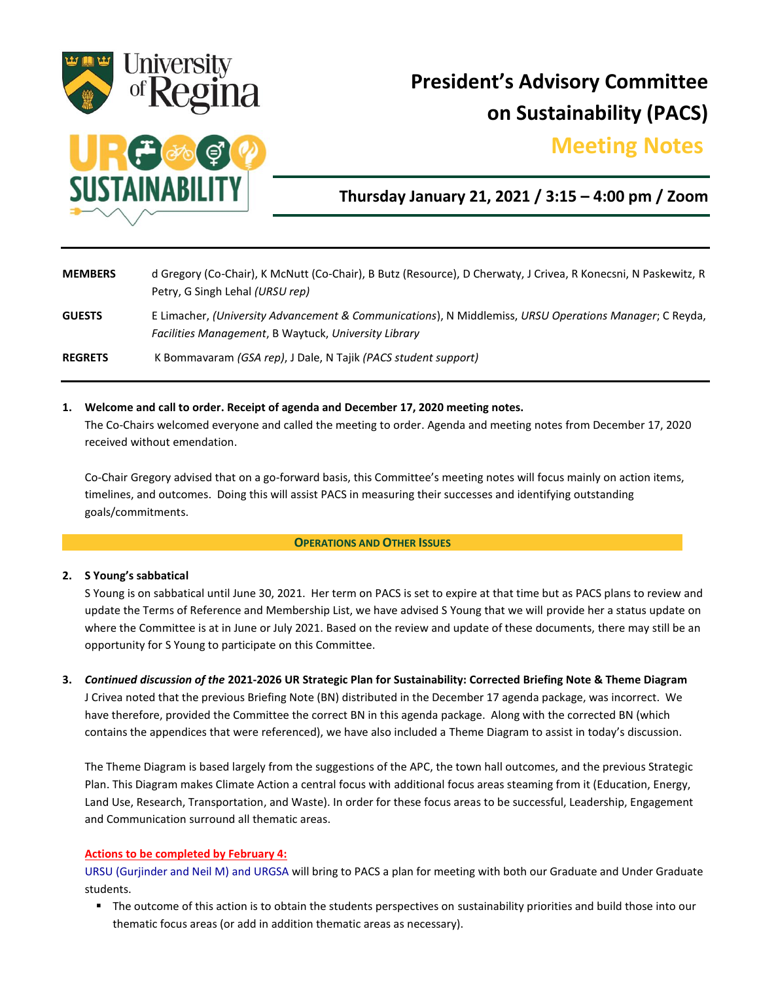

# **President's Advisory Committee on Sustainability (PACS)**

## **Meeting Notes.**



### **Thursday January 21, 2021 / 3:15 – 4:00 pm / Zoom**

**MEMBERS** d Gregory (Co-Chair), K McNutt (Co-Chair), B Butz (Resource), D Cherwaty, J Crivea, R Konecsni, N Paskewitz, R Petry, G Singh Lehal *(URSU rep)* **GUESTS** E Limacher, *(University Advancement & Communications*), N Middlemiss, *URSU Operations Manager*; C Reyda, *Facilities Management*, B Waytuck, *University Library* **REGRETS** K Bommavaram *(GSA rep)*, J Dale, N Tajik *(PACS student support)*

### **1. Welcome and call to order. Receipt of agenda and December 17, 2020 meeting notes.**

The Co-Chairs welcomed everyone and called the meeting to order. Agenda and meeting notes from December 17, 2020 received without emendation.

Co-Chair Gregory advised that on a go-forward basis, this Committee's meeting notes will focus mainly on action items, timelines, and outcomes. Doing this will assist PACS in measuring their successes and identifying outstanding goals/commitments.

### **OPERATIONS AND OTHER ISSUES**

### **2. S Young's sabbatical**

S Young is on sabbatical until June 30, 2021. Her term on PACS is set to expire at that time but as PACS plans to review and update the Terms of Reference and Membership List, we have advised S Young that we will provide her a status update on where the Committee is at in June or July 2021. Based on the review and update of these documents, there may still be an opportunity for S Young to participate on this Committee.

**3.** *Continued discussion of the* **2021-2026 UR Strategic Plan for Sustainability: Corrected Briefing Note & Theme Diagram** J Crivea noted that the previous Briefing Note (BN) distributed in the December 17 agenda package, was incorrect. We have therefore, provided the Committee the correct BN in this agenda package. Along with the corrected BN (which contains the appendices that were referenced), we have also included a Theme Diagram to assist in today's discussion.

The Theme Diagram is based largely from the suggestions of the APC, the town hall outcomes, and the previous Strategic Plan. This Diagram makes Climate Action a central focus with additional focus areas steaming from it (Education, Energy, Land Use, Research, Transportation, and Waste). In order for these focus areas to be successful, Leadership, Engagement and Communication surround all thematic areas.

### **Actions to be completed by February 4:**

URSU (Gurjinder and Neil M) and URGSA will bring to PACS a plan for meeting with both our Graduate and Under Graduate students.

The outcome of this action is to obtain the students perspectives on sustainability priorities and build those into our thematic focus areas (or add in addition thematic areas as necessary).